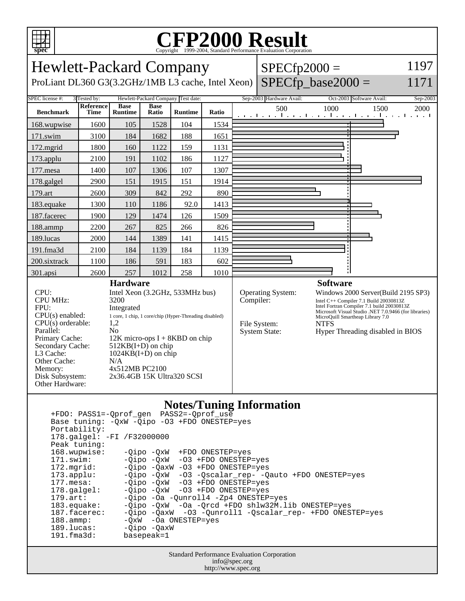

## Copyright ©1999-2004, Standard Performance Evaluation Corporation

| <b>Hewlett-Packard Company</b><br>$SPECfp2000 =$<br>$SPECfp\_base2000 =$<br>ProLiant DL360 G3(3.2GHz/1MB L3 cache, Intel Xeon)                                                                                                                                                                                                                                                                                                                                                                                          |                                          |                               |                      |                                                      |           |                                                           |                                                                                                                                                                                                                                                                                                |      |                                                | 1197<br>1171     |
|-------------------------------------------------------------------------------------------------------------------------------------------------------------------------------------------------------------------------------------------------------------------------------------------------------------------------------------------------------------------------------------------------------------------------------------------------------------------------------------------------------------------------|------------------------------------------|-------------------------------|----------------------|------------------------------------------------------|-----------|-----------------------------------------------------------|------------------------------------------------------------------------------------------------------------------------------------------------------------------------------------------------------------------------------------------------------------------------------------------------|------|------------------------------------------------|------------------|
| SPEC license #:<br><b>Benchmark</b>                                                                                                                                                                                                                                                                                                                                                                                                                                                                                     | 3 Tested by:<br>Reference<br><b>Time</b> | <b>Base</b><br><b>Runtime</b> | <b>Base</b><br>Ratio | Hewlett-Packard Company Test date:<br><b>Runtime</b> | Ratio     |                                                           | Sep-2003 Hardware Avail:<br>500                                                                                                                                                                                                                                                                | 1000 | Oct-2003 Software Avail:<br>1500               | Sep-2003<br>2000 |
| 168.wupwise                                                                                                                                                                                                                                                                                                                                                                                                                                                                                                             | 1600                                     | 105                           | 1528                 | 104                                                  | 1534      |                                                           |                                                                                                                                                                                                                                                                                                |      | المتواجب والمتواطن والمتواطن والمتواطن والمتوا |                  |
| 171.swim                                                                                                                                                                                                                                                                                                                                                                                                                                                                                                                | 3100                                     | 184                           | 1682                 | 188                                                  | 1651      |                                                           |                                                                                                                                                                                                                                                                                                |      |                                                |                  |
| 172.mgrid                                                                                                                                                                                                                                                                                                                                                                                                                                                                                                               | 1800                                     | 160                           | 1122                 | 159                                                  | 1131      |                                                           |                                                                                                                                                                                                                                                                                                |      |                                                |                  |
| 173.applu                                                                                                                                                                                                                                                                                                                                                                                                                                                                                                               | 2100                                     | 191                           | 1102                 | 186                                                  | 1127      |                                                           |                                                                                                                                                                                                                                                                                                |      |                                                |                  |
| 177.mesa                                                                                                                                                                                                                                                                                                                                                                                                                                                                                                                | 1400                                     | 107                           | 1306                 | 107                                                  | 1307      |                                                           |                                                                                                                                                                                                                                                                                                |      |                                                |                  |
| 178.galgel                                                                                                                                                                                                                                                                                                                                                                                                                                                                                                              | 2900                                     | 151                           | 1915                 | 151                                                  | 1914      |                                                           |                                                                                                                                                                                                                                                                                                |      |                                                |                  |
| 179.art                                                                                                                                                                                                                                                                                                                                                                                                                                                                                                                 | 2600                                     | 309                           | 842                  | 292                                                  | 890       |                                                           |                                                                                                                                                                                                                                                                                                |      |                                                |                  |
| 183.equake                                                                                                                                                                                                                                                                                                                                                                                                                                                                                                              | 1300                                     | 110                           | 1186                 | 92.0                                                 | 1413      |                                                           |                                                                                                                                                                                                                                                                                                |      |                                                |                  |
| 187.facerec                                                                                                                                                                                                                                                                                                                                                                                                                                                                                                             | 1900                                     | 129                           | 1474                 | 126                                                  | 1509      |                                                           |                                                                                                                                                                                                                                                                                                |      |                                                |                  |
| 188.ammp                                                                                                                                                                                                                                                                                                                                                                                                                                                                                                                | 2200                                     | 267                           | 825                  | 266                                                  | 826       |                                                           |                                                                                                                                                                                                                                                                                                |      |                                                |                  |
| 189.lucas                                                                                                                                                                                                                                                                                                                                                                                                                                                                                                               | 2000                                     | 144                           | 1389                 | 141                                                  | 1415      |                                                           |                                                                                                                                                                                                                                                                                                |      |                                                |                  |
| 191.fma3d                                                                                                                                                                                                                                                                                                                                                                                                                                                                                                               | 2100                                     | 184                           | 1139                 | 184                                                  | 1139      |                                                           |                                                                                                                                                                                                                                                                                                |      |                                                |                  |
| 200.sixtrack                                                                                                                                                                                                                                                                                                                                                                                                                                                                                                            | 1100                                     | 186                           | 591                  | 183                                                  | 602       |                                                           |                                                                                                                                                                                                                                                                                                |      |                                                |                  |
| 301.apsi                                                                                                                                                                                                                                                                                                                                                                                                                                                                                                                | 2600                                     | 257                           | 1012                 | 258                                                  | 1010      |                                                           |                                                                                                                                                                                                                                                                                                |      |                                                |                  |
| <b>Hardware</b><br>CPU:<br>Intel Xeon (3.2GHz, 533MHz bus)<br><b>CPU MHz:</b><br>3200<br>FPU:<br>Integrated<br>$CPU(s)$ enabled:<br>1 core, 1 chip, 1 core/chip (Hyper-Threading disabled)<br>$CPU(s)$ orderable:<br>1,2<br>Parallel:<br>N <sub>0</sub><br>Primary Cache:<br>$12K$ micro-ops I + 8KBD on chip<br>Secondary Cache:<br>$512KB(I+D)$ on chip<br>L3 Cache:<br>$1024KB(I+D)$ on chip<br>Other Cache:<br>N/A<br>4x512MB PC2100<br>Memory:<br>Disk Subsystem:<br>2x36.4GB 15K Ultra320 SCSI<br>Other Hardware: |                                          |                               |                      |                                                      | Compiler: | <b>Operating System:</b><br>File System:<br>System State: | <b>Software</b><br>Windows 2000 Server(Build 2195 SP3)<br>Intel C++ Compiler 7.1 Build 20030813Z<br>Intel Fortran Compiler 7.1 build 20030813Z<br>Microsoft Visual Študio .NET 7.0.9466 (for libraries)<br>MicroQuill Smartheap Library 7.0<br><b>NTFS</b><br>Hyper Threading disabled in BIOS |      |                                                |                  |

#### **Notes/Tuning Information**

| +FDO: PASS1=-Oprof gen PASS2=-Oprof use          |                                                                   |  |  |  |  |  |  |  |
|--------------------------------------------------|-------------------------------------------------------------------|--|--|--|--|--|--|--|
| Base tuning: - 0xW - 0ipo - 03 + FDO ONESTEP=yes |                                                                   |  |  |  |  |  |  |  |
| Portability:                                     |                                                                   |  |  |  |  |  |  |  |
| 178.galgel: -FI /F32000000                       |                                                                   |  |  |  |  |  |  |  |
| Peak tuning:                                     |                                                                   |  |  |  |  |  |  |  |
| 168.wupwise:                                     | $-Oipo$ $-OxW$ $+FDO$ ONESTEP=yes                                 |  |  |  |  |  |  |  |
| 171.swim:                                        | $-Oipo$ $-OxW$ $-O3$ $+FDO$ $ONESTEP = yes$                       |  |  |  |  |  |  |  |
| 172.mqrid:                                       | -Oipo -OaxW -O3 +FDO ONESTEP=yes                                  |  |  |  |  |  |  |  |
| $173.\text{applu}:$                              | -Qipo -QxW -03 -Qscalar_rep- -Qauto +FDO ONESTEP=yes              |  |  |  |  |  |  |  |
| $177.\mathtt{mesa}$ :                            | $-Oipo$ $-OxW$ $-O3$ $+FDO$ $ONESTEP = yes$                       |  |  |  |  |  |  |  |
| $178.\text{qalgel}$ :                            | $-Oipo$ $-OXW$ $-O3$ $+FDO$ $ONESTEP = yes$                       |  |  |  |  |  |  |  |
| $179.\text{art}$ :                               | -Oipo -Oa -Ounroll4 -Zp4 ONESTEP=yes                              |  |  |  |  |  |  |  |
| $183$ .equake:                                   | $-Oipo$ $-OxW$ $-Oa$ $-Orcd$ $+FDO$ $shlw32M.lib$ $ONESTEP = yes$ |  |  |  |  |  |  |  |
| 187.facerec:                                     | -Oipo -OaxW -O3 -Ounroll1 -Oscalar rep- +FDO ONESTEP=yes          |  |  |  |  |  |  |  |
| $188.\text{amp}:$                                | $-OxW$ -Oa ONESTEP=yes                                            |  |  |  |  |  |  |  |
| 189.lucas:                                       | $-Oipo$ $-OaxW$                                                   |  |  |  |  |  |  |  |
| $191.f$ ma $3d$ :                                | basepeak=1                                                        |  |  |  |  |  |  |  |
|                                                  |                                                                   |  |  |  |  |  |  |  |

Standard Performance Evaluation Corporation info@spec.org http://www.spec.org